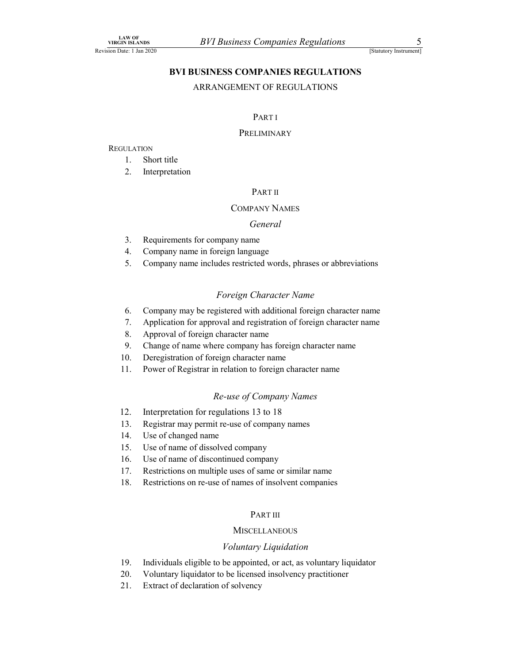# LAW OF<br>
URGIN ISLANDS<br>
ISTALLET JAN 2020<br>
BVI BUSINESS COMPANIES REGULATIONS<br>
ARRANGEMENT OF REGULATIONS BVI BUSINESS COMPANIES REGULATIONS NET SISTEM BRITTEN THE COMPANIES REGULATIONS<br>
ISLAMS AREANGEMENT OF REGULATIONS<br>
ARRANGEMENT OF REGULATIONS<br>
PART I<br>
PART I<br>
PART I<br>
2. Interpretation<br>
PART II<br>
COMPANY NAMES  $\begin{array}{lll} \textit{3.00b} & \textit{BVI Business Companies Regulations} \\ \textit{1.81A-NSC} & \textit{1.81A-2020} \\ & \textit{BVI BUSINES COMPANIES REGULATIONS} \\ & \textit{ARRANGEMENT OF REGULATIONS} \\ & \textit{1.81A} \\ \textit{1.1A} \\ \textit{2.1A} \\ \textit{2.1A} \\ \textit{2.2} \\ & \textit{3.1A} \\ \textit{3.2} \\ & \textit{4.1A} \\ \textit{4.2} \\ & \textit{5.1A} \\ & \textit{6.1A} \\ & \textit{7.2A} \\$

#### ARRANGEMENT OF REGULATIONS

#### PART I

#### PRELIMINARY

#### **REGULATION**

- 
- 

#### PART II

#### COMPANY NAMES

#### General

- 
- 
- $\frac{3.8 \times 10^{18} \text{ N} \times 10^{18} \text{ N}}{1000 \text{ N}}$ <br>
3. Requirements For companies Regulations<br>
3. Represent of REGULATIONS<br>
3. Representing the company name in foreign parameters for company name<br>
4. Company name in foreign l  $\frac{0.806}{4 \times 1 \times 0.806}$  *BVI Business Companies Regulations* (Santoy Instrumer<br>
ET Line 2020<br> **BVI BUSINESS COMPANIES REGULATIONS**<br>
ARRANGEMENT OF REGULATIONS<br>
PART I<br>
PRELIMINARY<br>
1. Short title<br>
2. Interpretation<br>
PAR

#### Foreign Character Name

- **EXECUTE ANTION EXECUTE SECUTE ANTIFICATIONS**<br> **SECUTE ANTIFICATIONS**<br> **SECUTE ANTIFICATIONS**<br> **PARTI**<br> **PARTI**<br> **PARTI**<br> **COMPANY NAMES**<br> **SECUTE ANTIFICATIONS**<br> **PARTII**<br>
COMPANY NAMES<br> *General*<br> **3.** Requirements for FART I<br>
FRELIMINARY<br>
1. Short title<br>
2. Interpretation<br>
FART II<br>
COMPANY NAMES<br>
6. General<br>
4. Company name in foreign language<br>
5. Company name includes restricted words, phrases or abbreviations<br>
5. Company name includes **PARTI**<br>
7. And The PRELIMINARY<br>
7. Short title<br>
7. Short title<br>
7. COMPAY NAMES<br>
7. GENEE COMPAY MAMES<br>
7. Sequirements for company aname in foreign anguage<br>
7. Company name in foreign anguage<br>
7. Company mame includes re FARTI<br>
PRELIMINARY<br>
PRELIMINARY<br>
1. Short title<br>
2. Interpretation<br>
PART II<br>
COMPANY NAMES<br>
3. Requirements for company name<br>
4. Company name in foreign language<br>
5. Company name includes restricted words, phrases or abbre PRELIMINARY<br>
9. Interpretation<br>
9. Interpretation<br>
9. COMPANY NAMES<br>
9. General<br>
9. General<br>
4. Company name inforeign language<br>
5. Company name inforeign character Name<br>
9. Company may be registered with additional forei 10. Short title<br>
2. Interpretation<br>
2. Company name<br>
2. Company name in forcign language<br>
3. Requirements for company name<br>
4. Company name in forcign language<br>
5. Company name includes restricted words, phrases or abbrev 1. Short title<br>
2. Interpretation<br>
2. COMPANY NAMES<br>
2. General<br>
3. Requirements for company name<br>
4. Company name in foreign language<br>
5. Company name in cludes restricted words, phrases or abbreviations<br>
2. Foreign Char 12. Interpretation for regulations 13 to 18 COMPANY NAMES<br>
3. Requirements for company name<br>
4. Company name in foreign language<br>
5. Company name includes restricted words, phrases or abbreviations<br> *Foreign Character Name*<br>
6. Company may be registered with additio  $\label{eq:1} General $$ \begin{array}{ll} \hline & General\\ \hline \end{array} \hline \\[-2.5mm] \hline \\[-2.5mm] \hline \\[-2.5mm] \hline \\[-2.5mm] \hline \\[-2.5mm] \hline \\[-2.5mm] \hline \\[-2.5mm] \hline \\[-2.5mm] \hline \\[-2.5mm] \hline \\[-2.5mm] \hline \\[-2.5mm] \hline \\[-2.5mm] \hline \\[-2.5mm] \hline \\[-2.5mm] \hline \\[-2.5mm] \hline \\[-2.5mm] \hline \\[-2.5mm] \hline \\[-2.5mm] \hline \\[-2.5$ 15. Requirements for company name<br>
4. Company name in foreign language<br>
5. Company name includes restricted words, phrases or abbreviations<br>  $Foreign Character Name$ <br>
6. Company may be registered with additional foreign character name<br>
7. 2. Local contents to company mannel in order of the company name in cherign language<br>
5. Company name includes restricted words, phrases or abbreviations<br>  $\overline{r}$  ore  $\overline{r}$  ore  $\overline{r}$  or  $\overline{r}$  or  $\overline{r}$  or  $\overline$ 17. Company name in totage anguage<br>
17. Company mane includes restricted words, phrases or abbreviations<br>
17. Toretign Character Name<br>
17. Application for approval and registration of foreign character name<br>
18. Approval o 18. Company may be registered with additional foreign character name<br>
18. Application for approval and registration of foreign character name<br>
18. Approval of foreign character name<br>
19. Change of name where company has f
- 
- 
- 
- 
- 

#### Re-use of Company Names

- 
- 
- 
- 
- 
- 
- 

#### PART III

#### **MISCELLANEOUS**

#### Voluntary Liquidation

- 9. Canage of name where company has foreign character name<br>
10. Deregistration of foreign character name<br>  $Re$ -use of Company Names<br>
12. Interpretation for regulations 13 to 18<br>
13. Registrar may permit tre-use of company 10. Deregistration of foreign character name<br>
21. Power of Registrar in relation to foreign character name<br>
22. Interpretation for regulations 13 to 18<br>
3. Registrar may permit re-use of company names<br>
21. Use of changed n 11. Power of Kegistrar in relation to foreign character name<br>
Re-use of Company Names<br>
12. Interpretation for regulations 13 to 18<br>
13. Registrar may permit re-use of company names<br>
14. Use of changed name<br>
15. Use of name
- 
-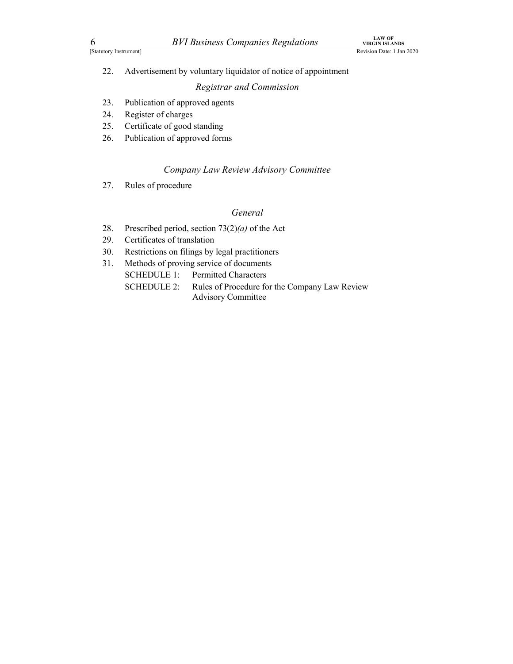$\frac{6}{\frac{L\textrm{AW OF}}{\textrm{Rexion Data: 1 Jan 2020}}}$ <br>
22. Advertisement by voluntary liquidator of notice of appointment<br>
23. Publication of approved agents <sup>22</sup>. Advertisement by voluntary liquidator of notice of appointment<br><sup>22</sup>. Advertisement by voluntary liquidator of notice of appointment<br><sup>23</sup>. Publication of approved agents<br><sup>24</sup>. Register of charges<br><sup>25</sup>. Certificate of <sup>LAW OF</sup><br>
Entry Instrument *BVI Business Companies Regulations*<br>
<sup>LAW OF</sup><br>
Revision Date: 13<br>
22. Advertisement by voluntary liquidator of notice of appointment<br> *Registrar and Commission*<br>
23. Publication of approved agen *BVI Business Companies Regulations*<br> *Revision Date:* 11<br>
Revision Date: 11<br>
22. Advertisement by voluntary liquidator of notice of appointment<br> *Registrar and Commission*<br>
23. Publication of approved agents<br>
24. Registe *BVI Business Companies Regulations*<br>
<sup>LAW OF</sup><br>
<sup>LAW OF</sup><br>
Revision Date: 11<br>
22. Advertisement by voluntary liquidator of notice of appointment<br> *Registrar and Commission*<br>
23. Publication of approved agents<br>
25. Certifica *BVI Business Companies Regulations Publication Step (AWOR)*<br>
Revision Date: 13<br>
22. Advertisement by voluntary liquidator of notice of appointment<br> *Registrar and Commission*<br>
23. Publication of approved agents<br>
25. Cer *BVI Business Companies Regulations*<br> *Revision Date:* 11<br>
22. Advertisement by voluntary liquidator of notice of appointment<br> *Revision Date:* 11<br>
23. Publication of approved agents<br>
24. Register of charges<br>
25. Certific **EXECUTE:**<br>
22. Advertisement by voluntary liquidator of notice of appointment<br>
22. Advertisement by voluntary liquidator of notice of appointment<br>
22. Publication of approved agents<br>
23. Publication of approved agents<br>
2

### Registrar and Commission

- 
- 
- 
- 

#### Company Law Review Advisory Committee

## General

- 
- 
- 
- - SCHEDULE 1: Permitted Characters
- **EVI Business Companies Regulations**<br> **EVI Business Companies Regulations**<br> **EVI Business Companise Regulations**<br> **EVI Business of the COMPANIC REGULARY REGULARY REGULARY Regulation of approved agents<br>
29. Regulation of a 30. Restrictions BVT Business Companies Regulations Example 122.**<br>
22. Advertisement by voluntary liquidator of notice of appointment<br>
22. Advertisement by voluntary liquidator of notice of appointment<br>
22. Publicati Extra Transmission Register of notice of appointment<br>
22. Advertisement by voluntary liquidator of notice of appointment<br>
23. Publication of approved agents<br>
24. Register of charges<br>
25. Certificate of good standing<br>
26. P SCHEDULE 2: Rules of Procedure for the Company Law Review Advisory Committee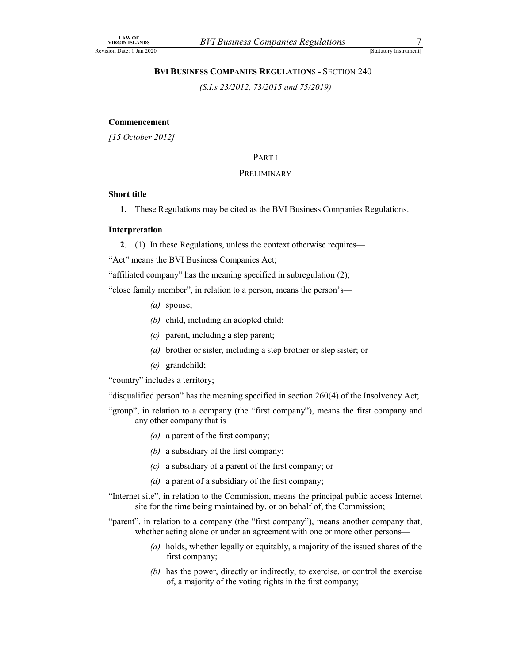LAW OF<br>
URGIN ISLANDS<br>
ISTALLATION S-SECTION 240<br>
BVI BUSINESS COMPANIES REGULATIONS - SECTION 240<br>
(S.I.s 23/2012, 73/2015 and 75/2019) BVI Business Companies Regulations<br>
Statutory Instrument<br>
BVI BUSINESS COMPANIES REGULATIONS - SECTION 240<br>
(S.I.s 23/2012, 73/2015 and 75/2019)<br>
nent **BVI Business Companies Regulations**<br>  $\frac{7}{\frac{5\text{Stautory Instrument}}{5\text{Stautory Instrument}}}}$ <br>
SS COMPANIES REGULATIONS - SECTION 240

#### Commencement

[15 October 2012]

## PART I

#### PRELIMINARY

#### Short title

1. These Regulations may be cited as the BVI Business Companies Regulations.

#### Interpretation

2. (1) In these Regulations, unless the context otherwise requires—

"Act" means the BVI Business Companies Act;

"affiliated company" has the meaning specified in subregulation (2);

"close family member", in relation to a person, means the person's—

- (*a*) spouse;
- (b) child, including an adopted child;
- $(c)$  parent, including a step parent;
- (d) brother or sister, including a step brother or step sister; or
- (e) grandchild;

"country" includes a territory;

"disqualified person" has the meaning specified in section 260(4) of the Insolvency Act;

- "group", in relation to a company (the "first company"), means the first company and any other company that is—
	- (a) a parent of the first company;
	- (b) a subsidiary of the first company;
	- (c) a subsidiary of a parent of the first company; or
	- $(d)$  a parent of a subsidiary of the first company;
- "Internet site", in relation to the Commission, means the principal public access Internet site for the time being maintained by, or on behalf of, the Commission;

"parent", in relation to a company (the "first company"), means another company that, whether acting alone or under an agreement with one or more other persons—

- (a) holds, whether legally or equitably, a majority of the issued shares of the first company;
- (b) has the power, directly or indirectly, to exercise, or control the exercise of, a majority of the voting rights in the first company;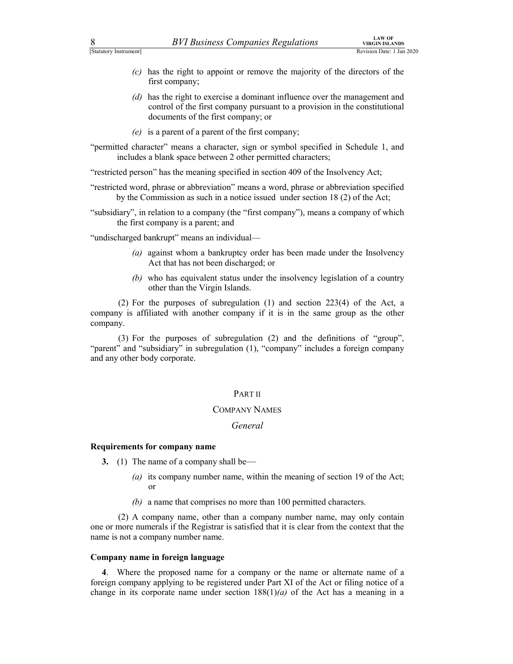- $\frac{BVI \; Business \; Companies \; Requirements}{\text{Rexision Date: 1 Jan 2020}}$ <br>
(c) has the right to appoint or remove the majority of the directors of the first company;<br>
(d) has the right to exercise a dominant influence over the management and approach of the fi (c) has the right to appoint or remove the majority of the directors of the first company;
	- (d) has the right to exercise a dominant influence over the management and control of the first company pursuant to a provision in the constitutional documents of the first company; or
	- (e) is a parent of a parent of the first company;
- "permitted character" means a character, sign or symbol specified in Schedule 1, and includes a blank space between 2 other permitted characters;

"restricted person" has the meaning specified in section 409 of the Insolvency Act;

"restricted word, phrase or abbreviation" means a word, phrase or abbreviation specified by the Commission as such in a notice issued under section 18 (2) of the Act;

"subsidiary", in relation to a company (the "first company"), means a company of which the first company is a parent; and

"undischarged bankrupt" means an individual—

- (a) against whom a bankruptcy order has been made under the Insolvency Act that has not been discharged; or
- (b) who has equivalent status under the insolvency legislation of a country other than the Virgin Islands.

(*d*) has the right to exercise a dominant influence over the management and control of the first company, or<br>control of the first company, or<br>(*e*) is a parent of a parent of the first company;<br>ded character" means a cha company is affiliated with another company if it is in the same group as the other company.

(*s*) is a parent of a parent of the first company;<br>
ted character" means a character, sign or symbol specified in Schedule 1, and<br>
encludes a blank space between 2 other permitted characters;<br>
ed person" has the meaning "parent" and "subsidiary" in subregulation (1), "company" includes a foreign company and any other body corporate. (2) For the purposes of subregulation (1) and section 223(4) of the Act, a<br>
y.<br>
y.<br>
y.<br>
(3) For the purposes of subregulation (2) and the definitions of "group",<br>
and "subsidiary" in subregulation (1), "company" includes

#### PART II

#### COMPANY NAMES

#### General

#### Requirements for company name

- 3. (1) The name of a company shall be—
	- (a) its company number name, within the meaning of section 19 of the Act; or
	- (b) a name that comprises no more than 100 permitted characters.

one or more numerals if the Registrar is satisfied that it is clear from the context that the name is not a company number name.

#### Company name in foreign language

4. Where the proposed name proposed name for a company of the name of a company parameter of a company shall be-<br>
(a) its company name for a company shall be-<br>
(a) its company number name, within the meaning of section 19 foreign company applying to be registered under Part XI of the Act or filing notice of a change in its corporate name under section  $188(1)(a)$  of the Act has a meaning in a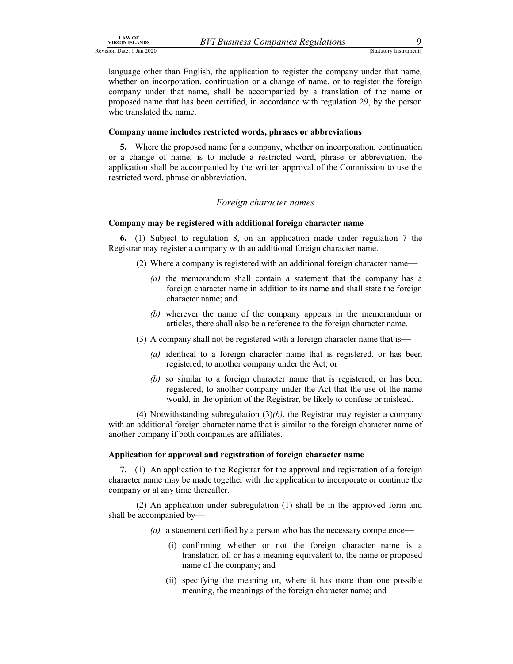LAW OF<br>
URGIN ISLANDS<br>
URGIN ISLANDS<br>
URGIN ISLANDS<br>
STALLUOTY INSTRUMENTS<br>
ISLANDS STALLUOTY INSTRUMENTS<br>
ISLAND USE UPIDENT STALLUOTY INSTRUMENTS<br>
URGEN UPIDENT OF THE COMPANY UNDER THE AMONG STARBED OF THE CONSULTION CO language other than English, the application to register the company under that name, whether on incorporation, continuation or a change of name, or to register the foreign company under that name, shall be accompanied by a translation of the name or proposed name that has been certified, in accordance with regulation 29, by the person who translated the name.

#### Company name includes restricted words, phrases or abbreviations

5. Where the proposed name for a company, whether on incorporation, continuation or a change of name, is to include a restricted word, phrase or abbreviation, the application shall be accompanied by the written approval of the Commission to use the restricted word, phrase or abbreviation.

#### Foreign character names

#### Company may be registered with additional foreign character name

6. (1) Subject to regulation 8, on an application made under regulation 7 the Registrar may register a company with an additional foreign character name.

- (2) Where a company is registered with an additional foreign character name—
	- (a) the memorandum shall contain a statement that the company has a foreign character name in addition to its name and shall state the foreign character name; and
	- (b) wherever the name of the company appears in the memorandum or articles, there shall also be a reference to the foreign character name.
- (3) A company shall not be registered with a foreign character name that is—
	- (a) identical to a foreign character name that is registered, or has been registered, to another company under the Act; or
	- (b) so similar to a foreign character name that is registered, or has been registered, to another company under the Act that the use of the name would, in the opinion of the Registrar, be likely to confuse or mislead.

(4) Notwithstanding subregulation  $(3)(b)$ , the Registrar may register a company with an additional foreign character name that is similar to the foreign character name of another company if both companies are affiliates.

#### Application for approval and registration of foreign character name

7. (1) An application to the Registrar for the approval and registration of a foreign character name may be made together with the application to incorporate or continue the company or at any time thereafter.

 (2) An application under subregulation (1) shall be in the approved form and shall be accompanied by—

- (a) a statement certified by a person who has the necessary competence—
	- (i) confirming whether or not the foreign character name is a translation of, or has a meaning equivalent to, the name or proposed name of the company; and
	- (ii) specifying the meaning or, where it has more than one possible meaning, the meanings of the foreign character name; and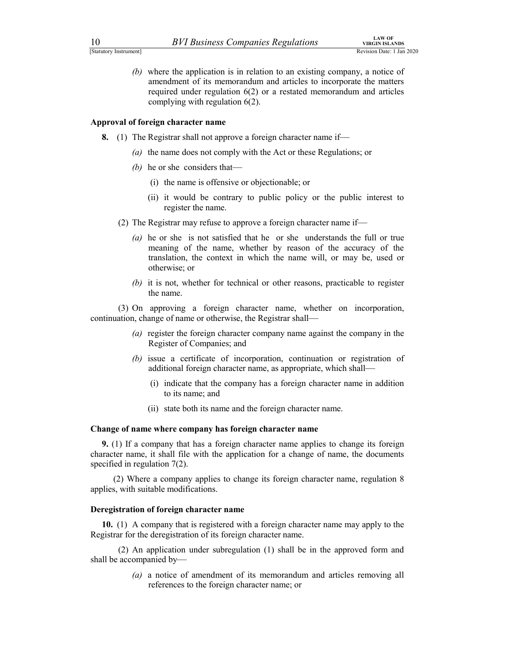EXAMPLE 10<br> *BVI Business Companies Regulations*<br>
(b) where the application is in relation to an existing company, a notice of<br>
amendment of its memorandum and articles to incorporate the matters<br>
required under regulation (b) where the application is in relation to an existing company, a notice of amendment of its memorandum and articles to incorporate the matters required under regulation 6(2) or a restated memorandum and articles complying with regulation 6(2).

#### Approval of foreign character name

- 8. (1) The Registrar shall not approve a foreign character name if—
	- (a) the name does not comply with the Act or these Regulations; or
	- (b) he or she considers that—
		- (i) the name is offensive or objectionable; or
		- (ii) it would be contrary to public policy or the public interest to register the name.
	- (2) The Registrar may refuse to approve a foreign character name if—
		- (a) he or she is not satisfied that he or she understands the full or true meaning of the name, whether by reason of the accuracy of the translation, the context in which the name will, or may be, used or otherwise; or
		- (b) it is not, whether for technical or other reasons, practicable to register the name.

 (3) On approving a foreign character name, whether on incorporation, continuation, change of name or otherwise, the Registrar shall—

- (a) register the foreign character company name against the company in the Register of Companies; and
- (b) issue a certificate of incorporation, continuation or registration of additional foreign character name, as appropriate, which shall—
	- (i) indicate that the company has a foreign character name in addition to its name; and
	- (ii) state both its name and the foreign character name.

#### Change of name where company has foreign character name

9. (1) If a company that has a foreign character name applies to change its foreign character name, it shall file with the application for a change of name, the documents specified in regulation 7(2).

(2) Where a company applies to change its foreign character name, regulation 8 applies, with suitable modifications.

#### Deregistration of foreign character name

10. (1) A company that is registered with a foreign character name may apply to the Registrar for the deregistration of its foreign character name.

 (2) An application under subregulation (1) shall be in the approved form and shall be accompanied by—

> (a) a notice of amendment of its memorandum and articles removing all references to the foreign character name; or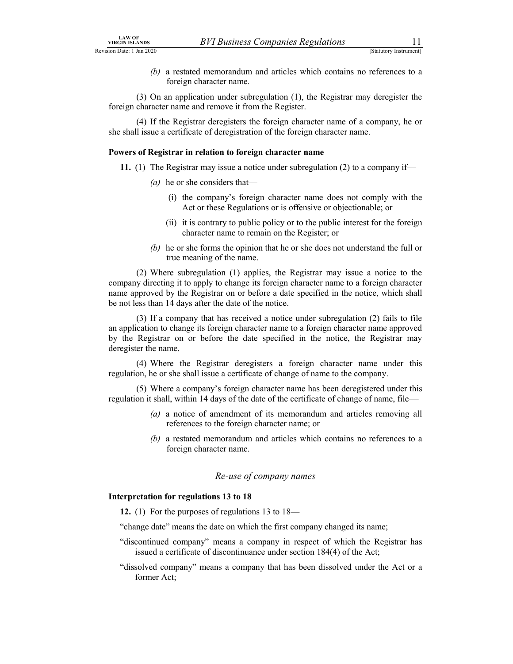$LAW$  of<br>
VIRGIN ISLANDS<br>
STALLANDS
(b) a restated memorandum and articles which contains no references to a<br>
foreign character name.<br>
(3) On an annihication under subregulation (1) the Registrar may deregister the (b) a restated memorandum and articles which contains no references to a foreign character name.

 (3) On an application under subregulation (1), the Registrar may deregister the foreign character name and remove it from the Register.

 (4) If the Registrar deregisters the foreign character name of a company, he or she shall issue a certificate of deregistration of the foreign character name.

#### Powers of Registrar in relation to foreign character name

- 11. (1) The Registrar may issue a notice under subregulation (2) to a company if—
	- (*a*) he or she considers that—
		- (i) the company's foreign character name does not comply with the Act or these Regulations or is offensive or objectionable; or
		- (ii) it is contrary to public policy or to the public interest for the foreign character name to remain on the Register; or
	- (b) he or she forms the opinion that he or she does not understand the full or true meaning of the name.

 (2) Where subregulation (1) applies, the Registrar may issue a notice to the company directing it to apply to change its foreign character name to a foreign character name approved by the Registrar on or before a date specified in the notice, which shall be not less than 14 days after the date of the notice.

 (3) If a company that has received a notice under subregulation (2) fails to file an application to change its foreign character name to a foreign character name approved by the Registrar on or before the date specified in the notice, the Registrar may deregister the name.

 (4) Where the Registrar deregisters a foreign character name under this regulation, he or she shall issue a certificate of change of name to the company.

 (5) Where a company's foreign character name has been deregistered under this regulation it shall, within 14 days of the date of the certificate of change of name, file—

- (a) a notice of amendment of its memorandum and articles removing all references to the foreign character name; or
- (b) a restated memorandum and articles which contains no references to a foreign character name.

#### Re-use of company names

#### Interpretation for regulations 13 to 18

12. (1) For the purposes of regulations 13 to 18—

"change date" means the date on which the first company changed its name;

- "discontinued company" means a company in respect of which the Registrar has issued a certificate of discontinuance under section 184(4) of the Act;
- "dissolved company" means a company that has been dissolved under the Act or a former Act;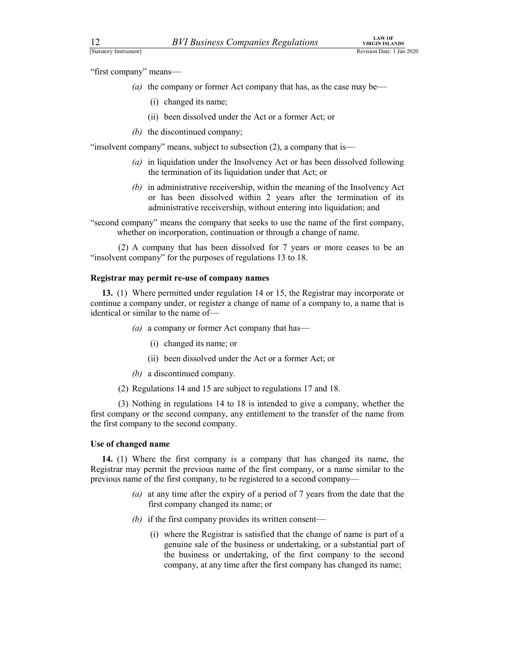"first company" means—

- EXAM OF VIRGIN ISLANDS<br>
[Statutory Instrument]<br>
"Statutory Instrument]<br>
"First company" means—<br>
(a) the company or former Act company that has, as the case may be—<br>
(i) changed its name; (a) the company or former Act company that has, as the case may be—
	- (i) changed its name;
	- (ii) been dissolved under the Act or a former Act; or
	- (b) the discontinued company;

"insolvent company" means, subject to subsection (2), a company that is—

- (a) in liquidation under the Insolvency Act or has been dissolved following the termination of its liquidation under that Act; or
- (b) in administrative receivership, within the meaning of the Insolvency Act or has been dissolved within 2 years after the termination of its administrative receivership, without entering into liquidation; and

"second company" means the company that seeks to use the name of the first company, whether on incorporation, continuation or through a change of name.

 (2) A company that has been dissolved for 7 years or more ceases to be an "insolvent company" for the purposes of regulations 13 to 18.

#### Registrar may permit re-use of company names

13. (1) Where permitted under regulation 14 or 15, the Registrar may incorporate or continue a company under, or register a change of name of a company to, a name that is identical or similar to the name of the discontinued company;<br>
the discontinued company (2), a company that is—<br>
in liquidation under the Insolvency Act or has been dissolved following<br>
the termination of its liquidation under that Act; or<br>
in administrativ

- (a) a company or former Act company that has—
	-
	- (ii) been dissolved under the Act or a former Act; or
- (b) a discontinued company.
- (2) Regulations 14 and 15 are subject to regulations 17 and 18.

 (3) Nothing in regulations 14 to 18 is intended to give a company, whether the first company or the second company, any entitlement to the transfer of the name from the first company to the second company.

#### Use of changed name

14. (1) Where the first company is a company that has changed its name, the Registrar may permit the previous name of the first company, or a name similar to the previous name of the first company, to be registered to a second company—

- (a) at any time after the expiry of a period of 7 years from the date that the first company changed its name; or
- (b) if the first company provides its written consent—
	- (i) where the Registrar is satisfied that the change of name is part of a genuine sale of the business or undertaking, or a substantial part of the business or undertaking, of the first company to the second company, at any time after the first company has changed its name;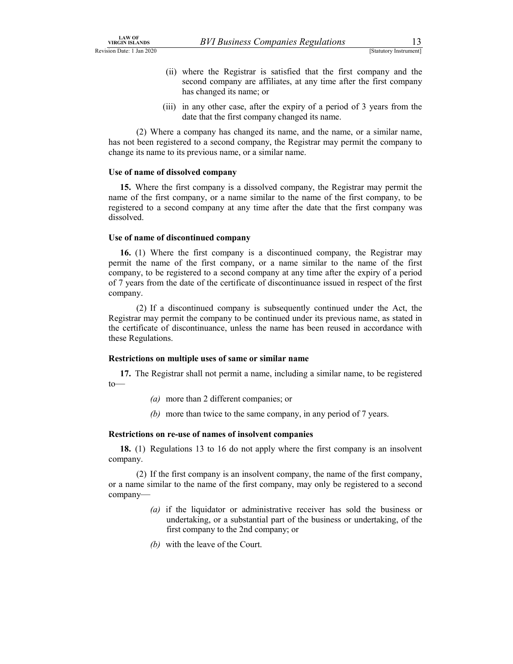- LAW OF<br>
VIRGIN ISLANDS<br>
STALLOTY INSTANDS BUT BUSINESS Companies Regulations<br>
(ii) where the Registrar is satisfied that the first company and the<br>
second company are affiliates, at any time after the first company<br>
has ch (ii) where the Registrar is satisfied that the first company and the second company are affiliates, at any time after the first company
	- has changed its name; or (iii) in any other case, after the expiry of a period of 3 years from the date that the first company changed its name.

 (2) Where a company has changed its name, and the name, or a similar name, has not been registered to a second company, the Registrar may permit the company to change its name to its previous name, or a similar name.

#### Use of name of dissolved company

15. Where the first company is a dissolved company, the Registrar may permit the name of the first company, or a name similar to the name of the first company, to be registered to a second company at any time after the date that the first company was dissolved.

#### Use of name of discontinued company

16. (1) Where the first company is a discontinued company, the Registrar may permit the name of the first company, or a name similar to the name of the first company, to be registered to a second company at any time after the expiry of a period of 7 years from the date of the certificate of discontinuance issued in respect of the first company.

 (2) If a discontinued company is subsequently continued under the Act, the Registrar may permit the company to be continued under its previous name, as stated in the certificate of discontinuance, unless the name has been reused in accordance with these Regulations.

#### Restrictions on multiple uses of same or similar name

17. The Registrar shall not permit a name, including a similar name, to be registered  $\sim$ 

- (a) more than 2 different companies; or
- (b) more than twice to the same company, in any period of 7 years.

#### Restrictions on re-use of names of insolvent companies

18. (1) Regulations 13 to 16 do not apply where the first company is an insolvent company.

 (2) If the first company is an insolvent company, the name of the first company, or a name similar to the name of the first company, may only be registered to a second company—

- (a) if the liquidator or administrative receiver has sold the business or undertaking, or a substantial part of the business or undertaking, of the first company to the 2nd company; or
- (b) with the leave of the Court.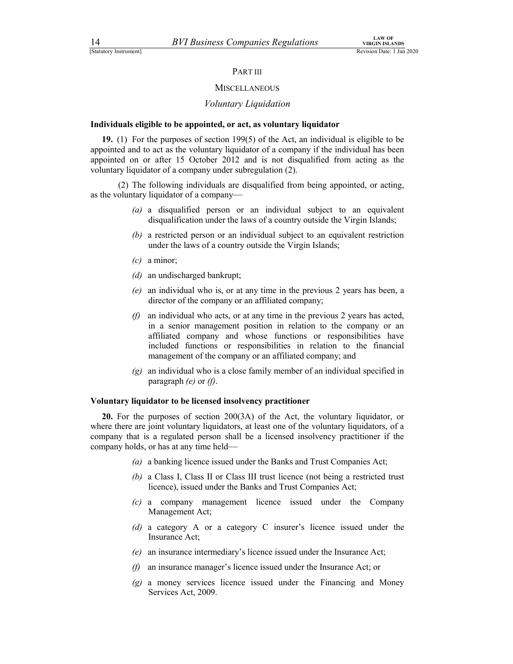#### PART III

#### **MISCELLANEOUS**

#### Voluntary Liquidation

#### Individuals eligible to be appointed, or act, as voluntary liquidator

19. (1) For the purposes of section 199(5) of the Act, an individual is eligible to be appointed and to act as the voluntary liquidator of a company if the individual has been appointed on or after 15 October 2012 and is not disqualified from acting as the voluntary liquidator of a company under subregulation (2).

 (2) The following individuals are disqualified from being appointed, or acting, as the voluntary liquidator of a company—

- (a) a disqualified person or an individual subject to an equivalent disqualification under the laws of a country outside the Virgin Islands;
- (b) a restricted person or an individual subject to an equivalent restriction under the laws of a country outside the Virgin Islands;
- $(c)$  a minor;
- (d) an undischarged bankrupt;
- (e) an individual who is, or at any time in the previous 2 years has been, a director of the company or an affiliated company;
- (f) an individual who acts, or at any time in the previous 2 years has acted, in a senior management position in relation to the company or an affiliated company and whose functions or responsibilities have included functions or responsibilities in relation to the financial management of the company or an affiliated company; and
- (g) an individual who is a close family member of an individual specified in paragraph  $(e)$  or  $(f)$ .

#### Voluntary liquidator to be licensed insolvency practitioner

20. For the purposes of section 200(3A) of the Act, the voluntary liquidator, or where there are joint voluntary liquidators, at least one of the voluntary liquidators, of a company that is a regulated person shall be a licensed insolvency practitioner if the company holds, or has at any time held—

- (a) a banking licence issued under the Banks and Trust Companies Act;
- (b) a Class I, Class II or Class III trust licence (not being a restricted trust licence), issued under the Banks and Trust Companies Act;
- (c) a company management licence issued under the Company Management Act;
- (d) a category A or a category C insurer's licence issued under the Insurance Act;
- (e) an insurance intermediary's licence issued under the Insurance Act;
- $(f)$  an insurance manager's licence issued under the Insurance Act; or
- (g) a money services licence issued under the Financing and Money Services Act, 2009.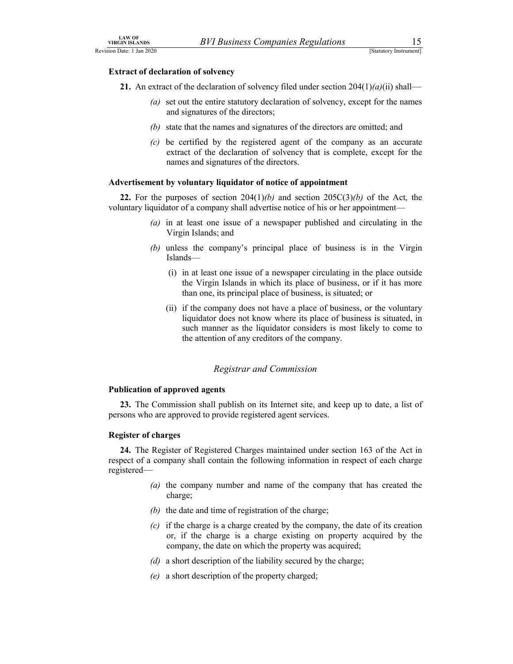#### Extract of declaration of solvency

LAW OF<br>
URGIN ISLANDS<br>
URGIN ISLANDS<br>
ISLANDS (Statutory Instrument)<br>
Extract of declaration of solvency<br>
21. An extract of the declaration of solvency filed under section 204(1)(*a*)(ii) shall— 21. An extract of the declaration of solvency filed under section  $204(1)(a)(ii)$  shall—

- (a) set out the entire statutory declaration of solvency, except for the names and signatures of the directors;
- (b) state that the names and signatures of the directors are omitted; and
- $(c)$  be certified by the registered agent of the company as an accurate extract of the declaration of solvency that is complete, except for the names and signatures of the directors.

#### Advertisement by voluntary liquidator of notice of appointment

22. For the purposes of section  $204(1)(b)$  and section  $205C(3)(b)$  of the Act, the voluntary liquidator of a company shall advertise notice of his or her appointment—

- (a) in at least one issue of a newspaper published and circulating in the Virgin Islands; and
- (b) unless the company's principal place of business is in the Virgin Islands—
	- (i) in at least one issue of a newspaper circulating in the place outside the Virgin Islands in which its place of business, or if it has more than one, its principal place of business, is situated; or
	- (ii) if the company does not have a place of business, or the voluntary liquidator does not know where its place of business is situated, in such manner as the liquidator considers is most likely to come to the attention of any creditors of the company.

#### Registrar and Commission

#### Publication of approved agents

23. The Commission shall publish on its Internet site, and keep up to date, a list of persons who are approved to provide registered agent services.

#### Register of charges

24. The Register of Registered Charges maintained under section 163 of the Act in respect of a company shall contain the following information in respect of each charge registered—

- (a) the company number and name of the company that has created the charge;
- (b) the date and time of registration of the charge;
- $(c)$  if the charge is a charge created by the company, the date of its creation or, if the charge is a charge existing on property acquired by the company, the date on which the property was acquired;
- (d) a short description of the liability secured by the charge;
- (e) a short description of the property charged;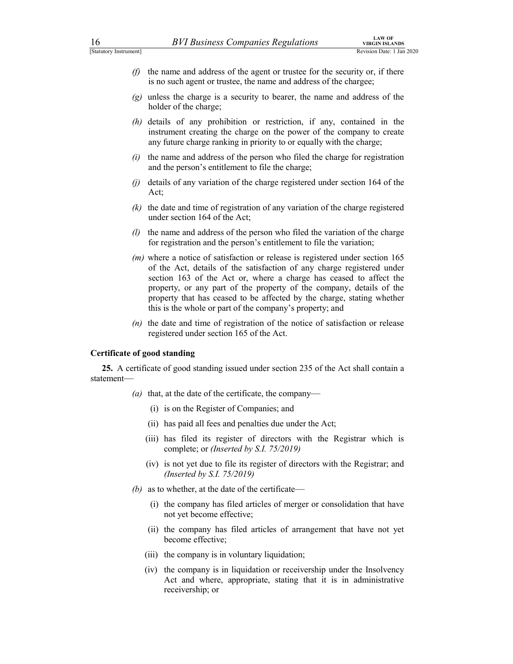- $\frac{L\textrm{AW OF}}{\textrm{[Satutory Instrument]}}$ <br>
(f) the name and address of the agent or trustee for the security or, if there is no such agent or trustee, the name and address of the chargee;<br>
(g) unless the charge is a security to bearer, t  $(f)$  the name and address of the agent or trustee for the security or, if there is no such agent or trustee, the name and address of the chargee;
	- $(g)$  unless the charge is a security to bearer, the name and address of the holder of the charge;
	- (h) details of any prohibition or restriction, if any, contained in the instrument creating the charge on the power of the company to create any future charge ranking in priority to or equally with the charge;
	- $(i)$  the name and address of the person who filed the charge for registration and the person's entitlement to file the charge;
	- (j) details of any variation of the charge registered under section 164 of the Act;
	- (k) the date and time of registration of any variation of the charge registered under section 164 of the Act;
	- (*l*) the name and address of the person who filed the variation of the charge for registration and the person's entitlement to file the variation;
	- (*m*) where a notice of satisfaction or release is registered under section 165 of the Act, details of the satisfaction of any charge registered under section 163 of the Act or, where a charge has ceased to affect the property, or any part of the property of the company, details of the property that has ceased to be affected by the charge, stating whether this is the whole or part of the company's property; and
	- $(n)$  the date and time of registration of the notice of satisfaction or release registered under section 165 of the Act.

#### Certificate of good standing

25. A certificate of good standing issued under section 235 of the Act shall contain a statement—

- (a) that, at the date of the certificate, the company—
	- (i) is on the Register of Companies; and
	- (ii) has paid all fees and penalties due under the Act;
	- (iii) has filed its register of directors with the Registrar which is complete; or (Inserted by S.I. 75/2019)
	- (iv) is not yet due to file its register of directors with the Registrar; and (Inserted by S.I. 75/2019)
- (b) as to whether, at the date of the certificate—
	- (i) the company has filed articles of merger or consolidation that have not yet become effective;
	- (ii) the company has filed articles of arrangement that have not yet become effective;
	- (iii) the company is in voluntary liquidation;
	- (iv) the company is in liquidation or receivership under the Insolvency Act and where, appropriate, stating that it is in administrative receivership; or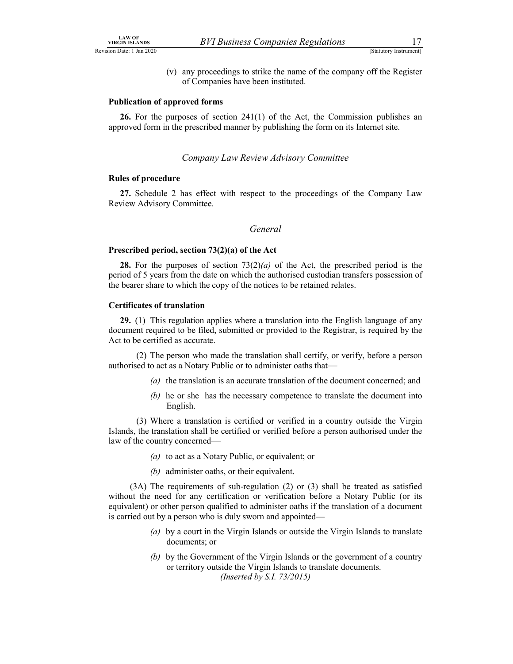LAW OF<br>
VIRGIN ISLANDS<br>
ISTALLUST I Jan 2020<br>
(v) any proceedings to strike the name of the company off the Register<br>
of Companies have been instituted. (v) any proceedings to strike the name of the company off the Register of Companies have been instituted.

#### Publication of approved forms

26. For the purposes of section 241(1) of the Act, the Commission publishes an approved form in the prescribed manner by publishing the form on its Internet site.

#### Company Law Review Advisory Committee

#### Rules of procedure

27. Schedule 2 has effect with respect to the proceedings of the Company Law Review Advisory Committee.

#### General

#### Prescribed period, section 73(2)(a) of the Act

**28.** For the purposes of section  $73(2)(a)$  of the Act, the prescribed period is the period of 5 years from the date on which the authorised custodian transfers possession of the bearer share to which the copy of the notices to be retained relates.

#### Certificates of translation

29. (1) This regulation applies where a translation into the English language of any document required to be filed, submitted or provided to the Registrar, is required by the Act to be certified as accurate.

 (2) The person who made the translation shall certify, or verify, before a person authorised to act as a Notary Public or to administer oaths that—

- (a) the translation is an accurate translation of the document concerned; and
- (b) he or she has the necessary competence to translate the document into English.

 (3) Where a translation is certified or verified in a country outside the Virgin Islands, the translation shall be certified or verified before a person authorised under the law of the country concerned—

- (a) to act as a Notary Public, or equivalent; or
- (b) administer oaths, or their equivalent.

 (3A) The requirements of sub-regulation (2) or (3) shall be treated as satisfied without the need for any certification or verification before a Notary Public (or its equivalent) or other person qualified to administer oaths if the translation of a document is carried out by a person who is duly sworn and appointed—

- (a) by a court in the Virgin Islands or outside the Virgin Islands to translate documents; or
- (b) by the Government of the Virgin Islands or the government of a country or territory outside the Virgin Islands to translate documents. (Inserted by S.I. 73/2015)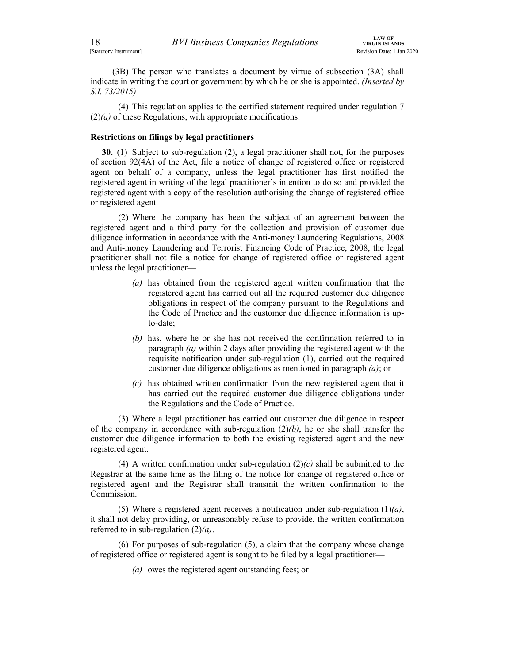EXAMPLE 18<br>
[Statutory Instrument]<br>
[Statutory Instrument]<br>
(3B) The person who translates a document by virtue of subsection (3A) shall<br>
indicate in writing the court or government by which he or she is appointed. (*Inser* (3B) The person who translates a document by virtue of subsection (3A) shall indicate in writing the court or government by which he or she is appointed. *(Inserted by* S.I. 73/2015)

 (4) This regulation applies to the certified statement required under regulation 7  $(2)(a)$  of these Regulations, with appropriate modifications.

#### Restrictions on filings by legal practitioners

30. (1) Subject to sub-regulation (2), a legal practitioner shall not, for the purposes of section 92(4A) of the Act, file a notice of change of registered office or registered agent on behalf of a company, unless the legal practitioner has first notified the registered agent in writing of the legal practitioner's intention to do so and provided the registered agent with a copy of the resolution authorising the change of registered office or registered agent.

 (2) Where the company has been the subject of an agreement between the registered agent and a third party for the collection and provision of customer due diligence information in accordance with the Anti-money Laundering Regulations, 2008 and Anti-money Laundering and Terrorist Financing Code of Practice, 2008, the legal practitioner shall not file a notice for change of registered office or registered agent unless the legal practitioner—

- (a) has obtained from the registered agent written confirmation that the registered agent has carried out all the required customer due diligence obligations in respect of the company pursuant to the Regulations and the Code of Practice and the customer due diligence information is upto-date;
- (b) has, where he or she has not received the confirmation referred to in paragraph (a) within 2 days after providing the registered agent with the requisite notification under sub-regulation (1), carried out the required customer due diligence obligations as mentioned in paragraph (a); or
- (c) has obtained written confirmation from the new registered agent that it has carried out the required customer due diligence obligations under the Regulations and the Code of Practice.

 (3) Where a legal practitioner has carried out customer due diligence in respect of the company in accordance with sub-regulation  $(2)(b)$ , he or she shall transfer the customer due diligence information to both the existing registered agent and the new registered agent.

(4) A written confirmation under sub-regulation  $(2)(c)$  shall be submitted to the Registrar at the same time as the filing of the notice for change of registered office or registered agent and the Registrar shall transmit the written confirmation to the Commission.

(5) Where a registered agent receives a notification under sub-regulation  $(1)(a)$ , it shall not delay providing, or unreasonably refuse to provide, the written confirmation referred to in sub-regulation  $(2)(a)$ .

 (6) For purposes of sub-regulation (5), a claim that the company whose change of registered office or registered agent is sought to be filed by a legal practitioner—

(a) owes the registered agent outstanding fees; or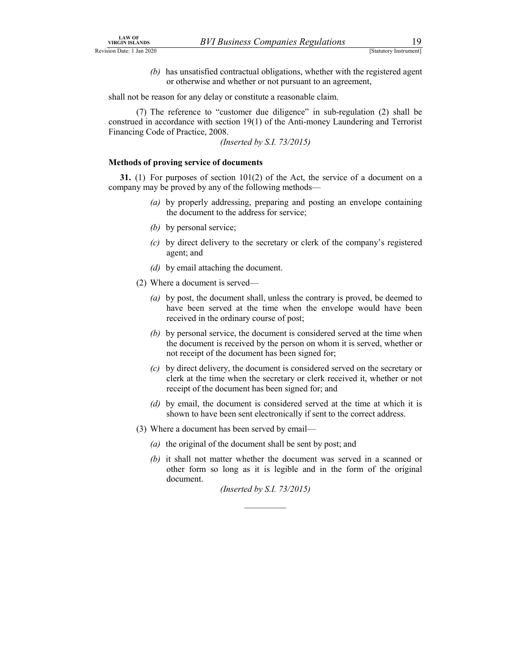- 
- LAW OF<br>
VIRGIN ISLANDS<br>
STALLOTY INSTANDS (STALLOTY INSTANDS FORD TO ALCORD THE UPPER THE UPPER THE UPPER THE UPPER THE UPPER THE UPPER THE UPPER THE UPPER THE UPPER THAT OF A UPPER THE UPPER THE UPPER THE UPPER THE UPPER (b) has unsatisfied contractual obligations, whether with the registered agent or otherwise and whether or not pursuant to an agreement,

shall not be reason for any delay or constitute a reasonable claim.

 (7) The reference to "customer due diligence" in sub-regulation (2) shall be construed in accordance with section 19(1) of the Anti-money Laundering and Terrorist Financing Code of Practice, 2008.

(Inserted by S.I. 73/2015)

#### Methods of proving service of documents

31. (1) For purposes of section  $101(2)$  of the Act, the service of a document on a company may be proved by any of the following methods—

- (a) by properly addressing, preparing and posting an envelope containing the document to the address for service;
- (b) by personal service;
- (c) by direct delivery to the secretary or clerk of the company's registered agent; and
- (d) by email attaching the document.
- (2) Where a document is served—
	- (a) by post, the document shall, unless the contrary is proved, be deemed to have been served at the time when the envelope would have been received in the ordinary course of post;
	- (b) by personal service, the document is considered served at the time when the document is received by the person on whom it is served, whether or not receipt of the document has been signed for;
	- (c) by direct delivery, the document is considered served on the secretary or clerk at the time when the secretary or clerk received it, whether or not receipt of the document has been signed for; and
	- (d) by email, the document is considered served at the time at which it is shown to have been sent electronically if sent to the correct address.
- (3) Where a document has been served by email—
	- (a) the original of the document shall be sent by post; and
	- (b) it shall not matter whether the document was served in a scanned or other form so long as it is legible and in the form of the original document.

(Inserted by S.I. 73/2015)  $\frac{1}{2}$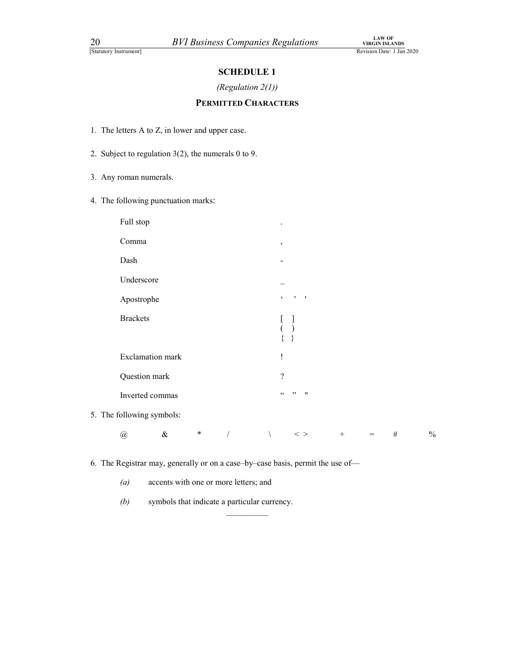## (Regulation 2(1))

## PERMITTED CHARACTERS

- 
- 20 *BVI Business Companies Regulations* view<br>
Statutory Instrument<br> **1.** The letters A to Z, in lower and upper case.<br>
2. Subject to regulation 3(2), the numerals 0 to 9.<br>
3. Any roman numerals. 2. Subject to regulation 3(2), the numerals 0 to 9.
- 3. Any roman numerals.
- 

| <b>20</b><br>[Statutory Instrument] |                                                        |                      | <b>BVI Business Companies Regulations</b>                  |                        | ${\rm LAW~OF}$ VIRGIN ISLANDS<br>Revision Date: 1 Jan 2020 |
|-------------------------------------|--------------------------------------------------------|----------------------|------------------------------------------------------------|------------------------|------------------------------------------------------------|
|                                     |                                                        | <b>SCHEDULE 1</b>    |                                                            |                        |                                                            |
|                                     |                                                        | (Regulation $2(1)$ ) |                                                            |                        |                                                            |
|                                     |                                                        |                      | PERMITTED CHARACTERS                                       |                        |                                                            |
|                                     | 1. The letters A to Z, in lower and upper case.        |                      |                                                            |                        |                                                            |
|                                     | 2. Subject to regulation $3(2)$ , the numerals 0 to 9. |                      |                                                            |                        |                                                            |
| 3. Any roman numerals.              |                                                        |                      |                                                            |                        |                                                            |
|                                     | 4. The following punctuation marks:                    |                      |                                                            |                        |                                                            |
| Full stop                           |                                                        |                      |                                                            |                        |                                                            |
| Comma                               |                                                        |                      | $\cdot$                                                    |                        |                                                            |
| Dash                                |                                                        |                      |                                                            |                        |                                                            |
| Underscore                          |                                                        |                      |                                                            |                        |                                                            |
| Apostrophe                          |                                                        |                      | $2 - 1$<br>$\boldsymbol{\zeta}$                            |                        |                                                            |
| <b>Brackets</b>                     |                                                        |                      |                                                            |                        |                                                            |
|                                     | <b>Exclamation</b> mark                                |                      | 1                                                          |                        |                                                            |
|                                     | Question mark                                          |                      | $\overline{?}$                                             |                        |                                                            |
|                                     | Inverted commas                                        |                      | $\mathsf{G}\,\mathsf{G}$<br>, ,<br>$\overline{\mathbf{u}}$ |                        |                                                            |
| 5. The following symbols:           |                                                        |                      |                                                            |                        |                                                            |
| $\textcircled{\scriptsize a}$       | $\&$<br>$\ast$                                         | $\sqrt{ }$           | $\,<\,>$<br>$\setminus$                                    | $\! + \!\!\!\!$<br>$=$ | $\#$                                                       |

6. The Registrar may, generally or on a case–by–case basis, permit the use of—

(a) accents with one or more letters; and

 $(b)$  symbols that indicate a particular currency.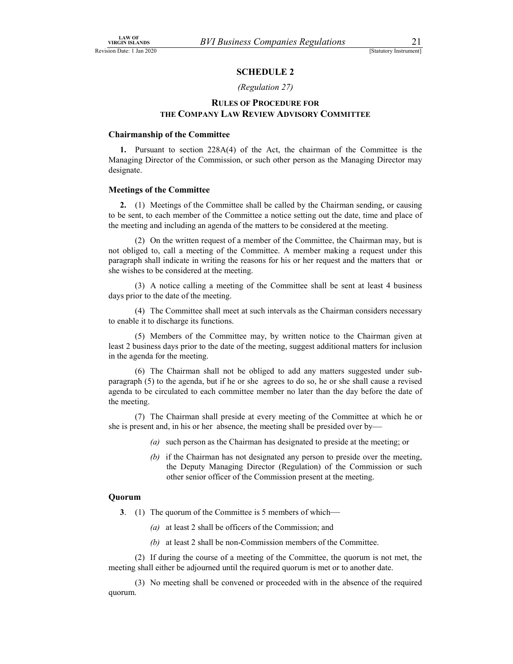#### (Regulation 27)

## ness Companies Regulations<br>
SCHEDULE 2<br>
SCHEDULE 2<br>
(Regulation 27)<br>
SOF PROCEDURE FOR<br>
V REVIEW ADVISORY COMMITTEE RULES OF PROCEDURE FOR THE COMPANY LAW REVIEW ADVISORY COMMITTEE

#### Chairmanship of the Committee

1. Pursuant to section 228A(4) of the Act, the chairman of the Committee is the Managing Director of the Commission, or such other person as the Managing Director may designate.

#### Meetings of the Committee

2. (1) Meetings of the Committee shall be called by the Chairman sending, or causing to be sent, to each member of the Committee a notice setting out the date, time and place of the meeting and including an agenda of the matters to be considered at the meeting.

 (2) On the written request of a member of the Committee, the Chairman may, but is not obliged to, call a meeting of the Committee. A member making a request under this paragraph shall indicate in writing the reasons for his or her request and the matters that or she wishes to be considered at the meeting.

 (3) A notice calling a meeting of the Committee shall be sent at least 4 business days prior to the date of the meeting.

 (4) The Committee shall meet at such intervals as the Chairman considers necessary to enable it to discharge its functions.

 (5) Members of the Committee may, by written notice to the Chairman given at least 2 business days prior to the date of the meeting, suggest additional matters for inclusion in the agenda for the meeting.

 (6) The Chairman shall not be obliged to add any matters suggested under subparagraph (5) to the agenda, but if he or she agrees to do so, he or she shall cause a revised agenda to be circulated to each committee member no later than the day before the date of the meeting.

 (7) The Chairman shall preside at every meeting of the Committee at which he or she is present and, in his or her absence, the meeting shall be presided over by—

- (a) such person as the Chairman has designated to preside at the meeting; or
- (b) if the Chairman has not designated any person to preside over the meeting, the Deputy Managing Director (Regulation) of the Commission or such other senior officer of the Commission present at the meeting.

#### Quorum

- 3. (1) The quorum of the Committee is 5 members of which—
	- (a) at least 2 shall be officers of the Commission; and
	- (b) at least 2 shall be non-Commission members of the Committee.

 (2) If during the course of a meeting of the Committee, the quorum is not met, the meeting shall either be adjourned until the required quorum is met or to another date.

 (3) No meeting shall be convened or proceeded with in the absence of the required quorum.